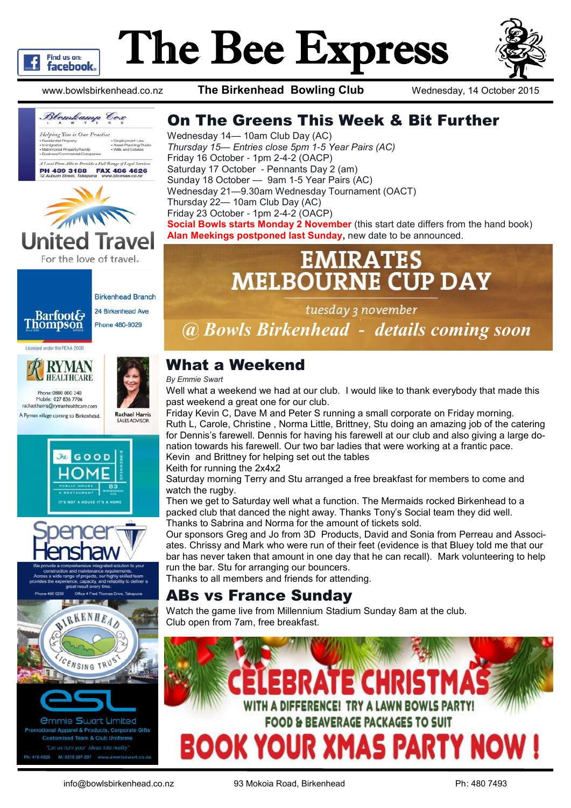

# The Bee Express

www.bowlsbirkenhead.co.nz **The Birkenhead Bowling Club** Wednesday, 14 October 2015





24 Birkenhead Ave Phone 480-9029

#### Licensed under the REAA 2008





rachael.harris@rymanhealthcare.com A Ryman village coming to Birkenhead.







*<u>Ommie Swart Limited</u>* al Apparel & Products, Corporate Gifts ised Team & Club Uniforms "Let us turn your ideas into reality M: 0275 297-297 wy

#### On The Greens This Week & Bit Further

Wednesday 14— 10am Club Day (AC) *Thursday 15— Entries close 5pm 1-5 Year Pairs (AC)*  Friday 16 October - 1pm 2-4-2 (OACP) Saturday 17 October - Pennants Day 2 (am) Sunday 18 October — 9am 1-5 Year Pairs (AC) Wednesday 21—9.30am Wednesday Tournament (OACT) Thursday 22— 10am Club Day (AC) Friday 23 October - 1pm 2-4-2 (OACP) **Social Bowls starts Monday 2 November** (this start date differs from the hand book) **Alan Meekings postponed last Sunday,** new date to be announced.

## **EMIRATES MELBOURNE CUP DAY**

tuesday 3 november

*@ Bowls Birkenhead - details coming soon*

#### What a Weekend

*By Emmie Swart*

Well what a weekend we had at our club. I would like to thank everybody that made this past weekend a great one for our club.

Friday Kevin C, Dave M and Peter S running a small corporate on Friday morning. Ruth L, Carole, Christine , Norma Little, Brittney, Stu doing an amazing job of the catering for Dennis's farewell. Dennis for having his farewell at our club and also giving a large donation towards his farewell. Our two bar ladies that were working at a frantic pace. Kevin and Brittney for helping set out the tables

Keith for running the 2x4x2

Saturday morning Terry and Stu arranged a free breakfast for members to come and watch the rugby.

Then we get to Saturday well what a function. The Mermaids rocked Birkenhead to a packed club that danced the night away. Thanks Tony's Social team they did well. Thanks to Sabrina and Norma for the amount of tickets sold.

Our sponsors Greg and Jo from 3D Products, David and Sonia from [Perreau](https://www.facebook.com/david.perreau.94) and Associates. Chrissy and Mark who were run of their feet (evidence is that Bluey told me that our bar has never taken that amount in one day that he can recall). Mark volunteering to help run the bar. Stu for arranging our bouncers.

Thanks to all members and friends for attending.

#### ABs vs France Sunday

Watch the game live from Millennium Stadium Sunday 8am at the club. Club open from 7am, free breakfast.